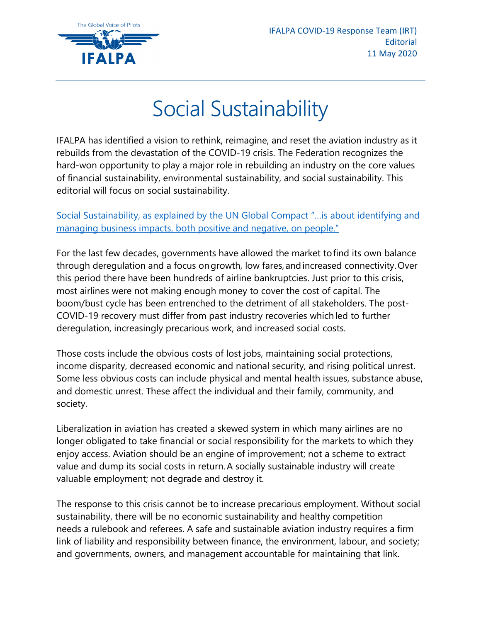

## Social Sustainability

IFALPA has identified a vision to rethink, reimagine, and reset the aviation industry as it rebuilds from the devastation of the COVID-19 crisis. The Federation recognizes the hard-won opportunity to play a major role in rebuilding an industry on the core values of financial sustainability, environmental sustainability, and social sustainability. This editorial will focus on social sustainability.

Social Sustainability, as explained by the UN Global Compact ["…is about identifying and](https://www.unglobalcompact.org/what-is-gc/our-work/social)  [managing business impacts, both positive and negative, on people."](https://www.unglobalcompact.org/what-is-gc/our-work/social)

For the last few decades, governments have allowed the market to find its own balance through deregulation and a focus on growth, low fares, and increased connectivity. Over this period there have been hundreds of airline bankruptcies. Just prior to this crisis, most airlines were not making enough money to cover the cost of capital. The boom/bust cycle has been entrenched to the detriment of all stakeholders. The post-COVID-19 recovery must differ from past industry recoveries which led to further deregulation, increasingly precarious work, and increased social costs.

Those costs include the obvious costs of lost jobs, maintaining social protections, income disparity, decreased economic and national security, and rising political unrest. Some less obvious costs can include physical and mental health issues, substance abuse, and domestic unrest. These affect the individual and their family, community, and society.

Liberalization in aviation has created a skewed system in which many airlines are no longer obligated to take financial or social responsibility for the markets to which they enjoy access. Aviation should be an engine of improvement; not a scheme to extract value and dump its social costs in return. A socially sustainable industry will create valuable employment; not degrade and destroy it.

The response to this crisis cannot be to increase precarious employment. Without social sustainability, there will be no economic sustainability and healthy competition needs a rulebook and referees. A safe and sustainable aviation industry requires a firm link of liability and responsibility between finance, the environment, labour, and society; and governments, owners, and management accountable for maintaining that link.